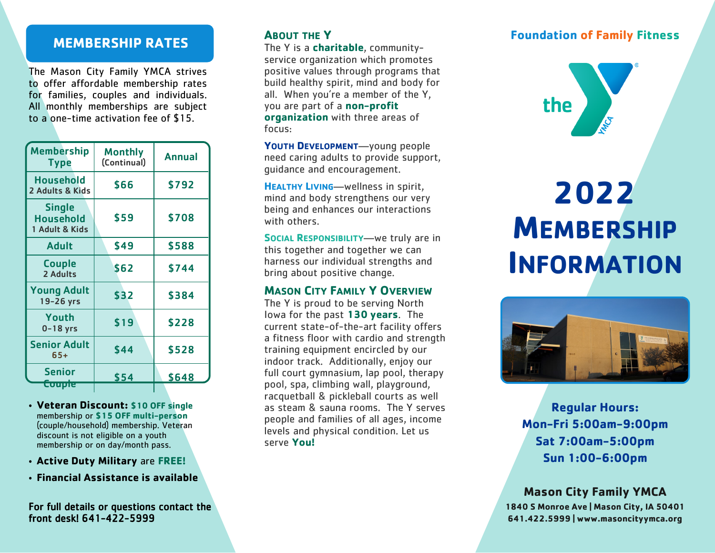# **MEMBERSHIP RATES**

The Mason City Family YMCA strives to offer affordable membership rates for families, couples and individuals. All monthly memberships are subject to a one-time activation fee of \$15.

| <b>Membership</b><br>Type                    | <b>Monthly</b><br>(Continual) | <b>Annual</b> |
|----------------------------------------------|-------------------------------|---------------|
| <b>Household</b><br>2 Adults & Kids          | \$66                          | \$792         |
| <b>Single</b><br>Household<br>1 Adult & Kids | \$59                          | \$708         |
| <b>Adult</b>                                 | \$49                          | \$588         |
| <b>Couple</b><br>2 Adults                    | \$62                          | \$744         |
| <b>Young Adult</b><br>19-26 yrs              | \$32                          | \$384         |
| Youth<br>$0-18$ yrs                          | \$19                          | \$228         |
| <b>Senior Adult</b><br>$65+$                 | \$44                          | \$528         |
| Senior<br><u>Coupie</u>                      | \$54                          | \$648         |

• **Veteran Discount: \$10 OFF single**  membership or **\$15 OFF multi-person**  (couple/household) membership. Veteran discount is not eligible on a youth membership or on day/month pass.

- **Active Duty Military** are **FREE!**
- **Financial Assistance is available**

For full details or questions contact the front desk! 641-422-5999

# **ABOUT THE Y**

The Y is a **charitable**, communityservice organization which promotes positive values through programs that build healthy spirit, mind and body for all. When you're a member of the Y, you are part of a **non-profit organization** with three areas of focus:

**YOUTH DEVELOPMENT**—young people need caring adults to provide support, guidance and encouragement.

**HEALTHY LIVING**—wellness in spirit, mind and body strengthens our very being and enhances our interactions with others.

**SOCIAL RESPONSIBILITY**—we truly are in this together and together we can harness our individual strengths and bring about positive change.

## **MASON CITY FAMILY Y OVERVIEW**

The Y is proud to be serving North Iowa for the past **130 years**. The current state-of-the-art facility offers a fitness floor with cardio and strength training equipment encircled by our indoor track. Additionally, enjoy our full court gymnasium, lap pool, therapy pool, spa, climbing wall, playground, racquetball & pickleball courts as well as steam & sauna rooms. The Y serves people and families of all ages, income levels and physical condition. Let us serve **You!**

# **Foundation of Family Fitness**



# **2022 MEMBERSHIP INFORMATION**



**Regular Hours: Mon-Fri 5:00am-9:00pm Sat 7:00am-5:00pm Sun 1:00-6:00pm**

# **Mason City Family YMCA**

**1840 S Monroe Ave | Mason City, IA 50401 641.422.5999 | www.masoncityymca.org**